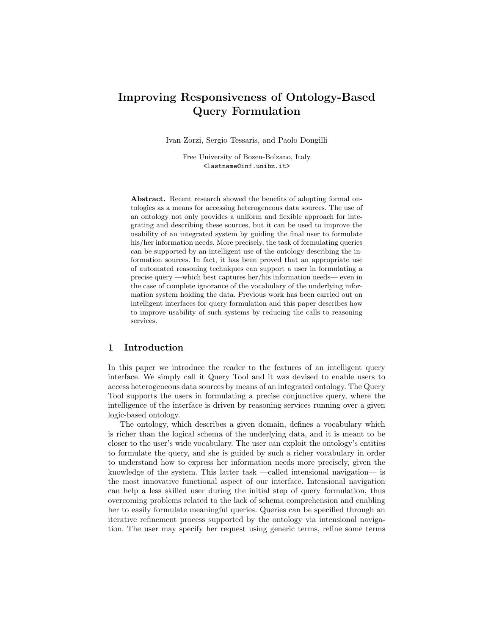# Improving Responsiveness of Ontology-Based Query Formulation

Ivan Zorzi, Sergio Tessaris, and Paolo Dongilli

Free University of Bozen-Bolzano, Italy <lastname@inf.unibz.it>

Abstract. Recent research showed the benefits of adopting formal ontologies as a means for accessing heterogeneous data sources. The use of an ontology not only provides a uniform and flexible approach for integrating and describing these sources, but it can be used to improve the usability of an integrated system by guiding the final user to formulate his/her information needs. More precisely, the task of formulating queries can be supported by an intelligent use of the ontology describing the information sources. In fact, it has been proved that an appropriate use of automated reasoning techniques can support a user in formulating a precise query —which best captures her/his information needs— even in the case of complete ignorance of the vocabulary of the underlying information system holding the data. Previous work has been carried out on intelligent interfaces for query formulation and this paper describes how to improve usability of such systems by reducing the calls to reasoning services.

# 1 Introduction

In this paper we introduce the reader to the features of an intelligent query interface. We simply call it Query Tool and it was devised to enable users to access heterogeneous data sources by means of an integrated ontology. The Query Tool supports the users in formulating a precise conjunctive query, where the intelligence of the interface is driven by reasoning services running over a given logic-based ontology.

The ontology, which describes a given domain, defines a vocabulary which is richer than the logical schema of the underlying data, and it is meant to be closer to the user's wide vocabulary. The user can exploit the ontology's entities to formulate the query, and she is guided by such a richer vocabulary in order to understand how to express her information needs more precisely, given the knowledge of the system. This latter task —called intensional navigation— is the most innovative functional aspect of our interface. Intensional navigation can help a less skilled user during the initial step of query formulation, thus overcoming problems related to the lack of schema comprehension and enabling her to easily formulate meaningful queries. Queries can be specified through an iterative refinement process supported by the ontology via intensional navigation. The user may specify her request using generic terms, refine some terms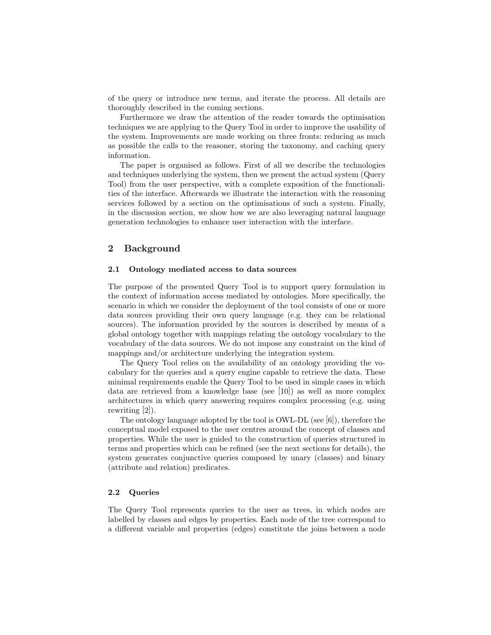of the query or introduce new terms, and iterate the process. All details are thoroughly described in the coming sections.

Furthermore we draw the attention of the reader towards the optimisation techniques we are applying to the Query Tool in order to improve the usability of the system. Improvements are made working on three fronts: reducing as much as possible the calls to the reasoner, storing the taxonomy, and caching query information.

The paper is organised as follows. First of all we describe the technologies and techniques underlying the system, then we present the actual system (Query Tool) from the user perspective, with a complete exposition of the functionalities of the interface. Afterwards we illustrate the interaction with the reasoning services followed by a section on the optimisations of such a system. Finally, in the discussion section, we show how we are also leveraging natural language generation technologies to enhance user interaction with the interface.

# 2 Background

# 2.1 Ontology mediated access to data sources

The purpose of the presented Query Tool is to support query formulation in the context of information access mediated by ontologies. More specifically, the scenario in which we consider the deployment of the tool consists of one or more data sources providing their own query language (e.g. they can be relational sources). The information provided by the sources is described by means of a global ontology together with mappings relating the ontology vocabulary to the vocabulary of the data sources. We do not impose any constraint on the kind of mappings and/or architecture underlying the integration system.

The Query Tool relies on the availability of an ontology providing the vocabulary for the queries and a query engine capable to retrieve the data. These minimal requirements enable the Query Tool to be used in simple cases in which data are retrieved from a knowledge base (see [10]) as well as more complex architectures in which query answering requires complex processing (e.g. using rewriting [2]).

The ontology language adopted by the tool is OWL-DL (see  $[6]$ ), therefore the conceptual model exposed to the user centres around the concept of classes and properties. While the user is guided to the construction of queries structured in terms and properties which can be refined (see the next sections for details), the system generates conjunctive queries composed by unary (classes) and binary (attribute and relation) predicates.

## 2.2 Queries

The Query Tool represents queries to the user as trees, in which nodes are labelled by classes and edges by properties. Each node of the tree correspond to a different variable and properties (edges) constitute the joins between a node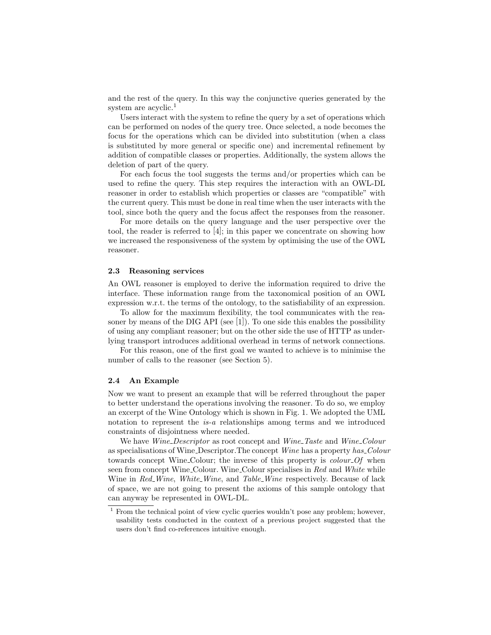and the rest of the query. In this way the conjunctive queries generated by the system are acyclic.<sup>1</sup>

Users interact with the system to refine the query by a set of operations which can be performed on nodes of the query tree. Once selected, a node becomes the focus for the operations which can be divided into substitution (when a class is substituted by more general or specific one) and incremental refinement by addition of compatible classes or properties. Additionally, the system allows the deletion of part of the query.

For each focus the tool suggests the terms and/or properties which can be used to refine the query. This step requires the interaction with an OWL-DL reasoner in order to establish which properties or classes are "compatible" with the current query. This must be done in real time when the user interacts with the tool, since both the query and the focus affect the responses from the reasoner.

For more details on the query language and the user perspective over the tool, the reader is referred to  $|4|$ ; in this paper we concentrate on showing how we increased the responsiveness of the system by optimising the use of the OWL reasoner.

## 2.3 Reasoning services

An OWL reasoner is employed to derive the information required to drive the interface. These information range from the taxonomical position of an OWL expression w.r.t. the terms of the ontology, to the satisfiability of an expression.

To allow for the maximum flexibility, the tool communicates with the reasoner by means of the DIG API (see [1]). To one side this enables the possibility of using any compliant reasoner; but on the other side the use of HTTP as underlying transport introduces additional overhead in terms of network connections.

For this reason, one of the first goal we wanted to achieve is to minimise the number of calls to the reasoner (see Section 5).

#### 2.4 An Example

Now we want to present an example that will be referred throughout the paper to better understand the operations involving the reasoner. To do so, we employ an excerpt of the Wine Ontology which is shown in Fig. 1. We adopted the UML notation to represent the is-a relationships among terms and we introduced constraints of disjointness where needed.

We have *Wine\_Descriptor* as root concept and *Wine\_Taste* and *Wine\_Colour* as specialisations of Wine Descriptor.The concept Wine has a property has Colour towards concept Wine Colour; the inverse of this property is *colour Of* when seen from concept Wine Colour. Wine Colour specialises in Red and White while Wine in Red\_Wine, White\_Wine, and Table\_Wine respectively. Because of lack of space, we are not going to present the axioms of this sample ontology that can anyway be represented in OWL-DL.

<sup>&</sup>lt;sup>1</sup> From the technical point of view cyclic queries wouldn't pose any problem; however, usability tests conducted in the context of a previous project suggested that the users don't find co-references intuitive enough.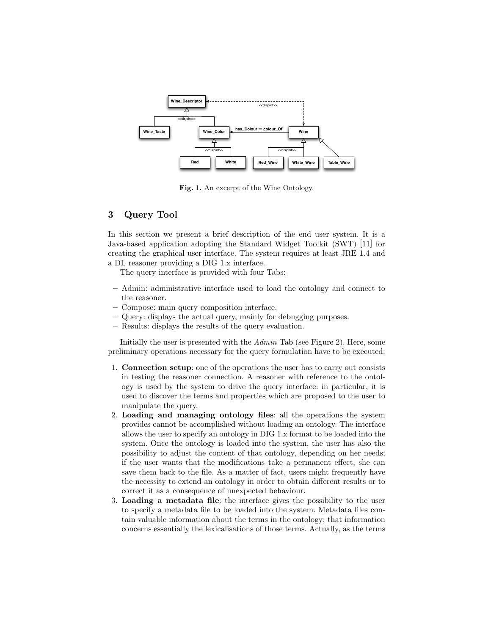

Fig. 1. An excerpt of the Wine Ontology.

# 3 Query Tool

In this section we present a brief description of the end user system. It is a Java-based application adopting the Standard Widget Toolkit (SWT) [11] for creating the graphical user interface. The system requires at least JRE 1.4 and a DL reasoner providing a DIG 1.x interface.

The query interface is provided with four Tabs:

- Admin: administrative interface used to load the ontology and connect to the reasoner.
- Compose: main query composition interface.
- Query: displays the actual query, mainly for debugging purposes.
- Results: displays the results of the query evaluation.

Initially the user is presented with the Admin Tab (see Figure 2). Here, some preliminary operations necessary for the query formulation have to be executed:

- 1. Connection setup: one of the operations the user has to carry out consists in testing the reasoner connection. A reasoner with reference to the ontology is used by the system to drive the query interface: in particular, it is used to discover the terms and properties which are proposed to the user to manipulate the query.
- 2. Loading and managing ontology files: all the operations the system provides cannot be accomplished without loading an ontology. The interface allows the user to specify an ontology in DIG 1.x format to be loaded into the system. Once the ontology is loaded into the system, the user has also the possibility to adjust the content of that ontology, depending on her needs; if the user wants that the modifications take a permanent effect, she can save them back to the file. As a matter of fact, users might frequently have the necessity to extend an ontology in order to obtain different results or to correct it as a consequence of unexpected behaviour.
- 3. Loading a metadata file: the interface gives the possibility to the user to specify a metadata file to be loaded into the system. Metadata files contain valuable information about the terms in the ontology; that information concerns essentially the lexicalisations of those terms. Actually, as the terms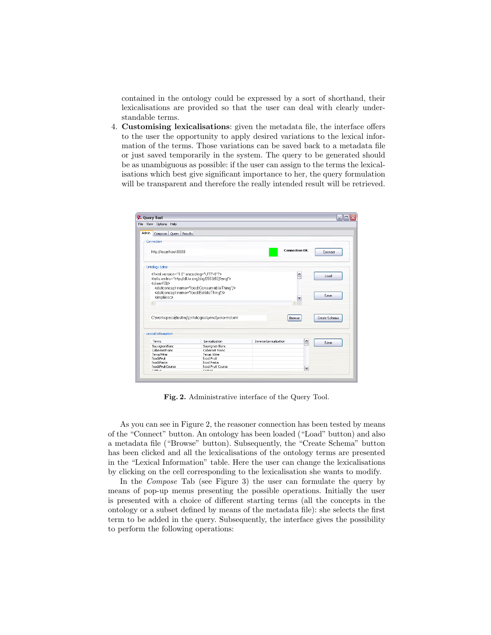contained in the ontology could be expressed by a sort of shorthand, their lexicalisations are provided so that the user can deal with clearly understandable terms.

4. Customising lexicalisations: given the metadata file, the interface offers to the user the opportunity to apply desired variations to the lexical information of the terms. Those variations can be saved back to a metadata file or just saved temporarily in the system. The query to be generated should be as unambiguous as possible: if the user can assign to the terms the lexicalisations which best give significant importance to her, the query formulation will be transparent and therefore the really intended result will be retrieved.

| <b>C.</b> Query Tool                                                                                                                                                               |                                                  |                                      | $ \Box$       |
|------------------------------------------------------------------------------------------------------------------------------------------------------------------------------------|--------------------------------------------------|--------------------------------------|---------------|
| File View Options Help                                                                                                                                                             |                                                  |                                      |               |
| Admin<br>Compose Query Results                                                                                                                                                     |                                                  |                                      |               |
| Connection                                                                                                                                                                         |                                                  |                                      |               |
| http://localhost:8080                                                                                                                                                              |                                                  | <b>Connection OK.</b>                | Connect       |
| Ontology Editor                                                                                                                                                                    |                                                  |                                      |               |
| xml version="1.0" encoding="UTF-8"?<br><tells xmlns="http://dl.kr.org/dig/2003/02/lang"><br/><clearkb></clearkb><br/><defconcept name="food:ConsumableThing"></defconcept></tells> |                                                  | ۸                                    | Load          |
| <defconcept name="food:EdibleThing"></defconcept><br><impliesc><br/><math display="inline">\ll</math></impliesc>                                                                   |                                                  |                                      | Save          |
|                                                                                                                                                                                    | C:\workspacextesting\ontologies\wine\wine-md.xml | Browse                               | Create Schema |
|                                                                                                                                                                                    |                                                  |                                      |               |
| Lexical Information                                                                                                                                                                |                                                  |                                      |               |
| Terms                                                                                                                                                                              | Lexicalization                                   | Inverse Lexicalization<br>$\hat{\ }$ | Save          |
| SauvignonBlanc                                                                                                                                                                     | Sauvignon Blanc                                  |                                      |               |
| CahernetFranc                                                                                                                                                                      | Cahernet Franc                                   |                                      |               |
| TexasWine                                                                                                                                                                          | <b>Texas Wine</b>                                |                                      |               |
| fond:Fruit                                                                                                                                                                         | food:Fruit                                       |                                      |               |
| food:Pasta                                                                                                                                                                         | food:Pasta                                       |                                      |               |
| fond:FruitCourse                                                                                                                                                                   | fond:Fruit Course                                | $\checkmark$                         |               |
|                                                                                                                                                                                    | Contractor                                       |                                      |               |

Fig. 2. Administrative interface of the Query Tool.

As you can see in Figure 2, the reasoner connection has been tested by means of the "Connect" button. An ontology has been loaded ("Load" button) and also a metadata file ("Browse" button). Subsequently, the "Create Schema" button has been clicked and all the lexicalisations of the ontology terms are presented in the "Lexical Information" table. Here the user can change the lexicalisations by clicking on the cell corresponding to the lexicalisation she wants to modify.

In the Compose Tab (see Figure 3) the user can formulate the query by means of pop-up menus presenting the possible operations. Initially the user is presented with a choice of different starting terms (all the concepts in the ontology or a subset defined by means of the metadata file): she selects the first term to be added in the query. Subsequently, the interface gives the possibility to perform the following operations: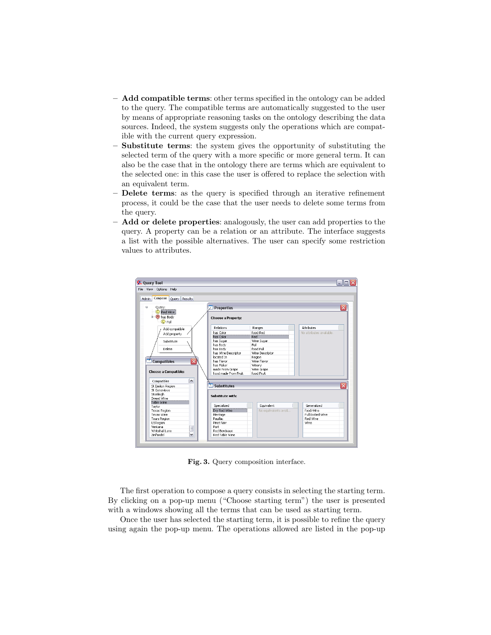- **Add compatible terms:** other terms specified in the ontology can be added to the query. The compatible terms are automatically suggested to the user by means of appropriate reasoning tasks on the ontology describing the data sources. Indeed, the system suggests only the operations which are compatible with the current query expression.
- Substitute terms: the system gives the opportunity of substituting the selected term of the query with a more specific or more general term. It can also be the case that in the ontology there are terms which are equivalent to the selected one: in this case the user is offered to replace the selection with an equivalent term.
- Delete terms: as the query is specified through an iterative refinement process, it could be the case that the user needs to delete some terms from the query.
- $-$  Add or delete properties: analogously, the user can add properties to the query. A property can be a relation or an attribute. The interface suggests a list with the possible alternatives. The user can specify some restriction values to attributes.

| File View Options Help<br>Compose<br><b>Admin</b><br>Query Results |                          |                       |                          |  |
|--------------------------------------------------------------------|--------------------------|-----------------------|--------------------------|--|
| $\oplus$<br>Query:<br>C Red Wine                                   | <b>Properties</b><br>↵   |                       | $\overline{\mathsf{x}}$  |  |
| <sup>e</sup> -R has Body<br>C Full                                 | Choose a Property:       |                       |                          |  |
| Add compatible                                                     | Relations                | Ranges                | <b>Attributes</b>        |  |
| Add property                                                       | has Color                | fond:Red              | No attributes available. |  |
|                                                                    | has Color                | Red                   |                          |  |
| Substitute                                                         | has Sugar                | Wine Sugar            |                          |  |
|                                                                    | has Body                 | Full                  |                          |  |
| Delete                                                             | has Body                 | fond:Full             |                          |  |
|                                                                    | has Wine Descriptor      | Wine Descriptor       |                          |  |
|                                                                    | Incated In               | Region                |                          |  |
| $\overline{\mathsf{x}}$<br><b>Compatibles</b>                      | has Flavor               | Wine Flavor           |                          |  |
|                                                                    | has Maker                | Winerv                |                          |  |
| <b>Choose a Compatible:</b>                                        | made From Grape          | Wine Grape            |                          |  |
|                                                                    | food:made From Fruit     | fond: En ilt          |                          |  |
| $\overline{\phantom{a}}$<br>Compatibles                            |                          |                       |                          |  |
| St Emilion Region                                                  | रू<br><b>Substitutes</b> |                       | $\overline{\mathsf{x}}$  |  |
| <b>St Genevieve</b>                                                |                          |                       |                          |  |
| Stonleigh                                                          |                          |                       |                          |  |
| Sweet Wine                                                         | Substitute with:         |                       |                          |  |
| Table Wine                                                         |                          |                       |                          |  |
| Taylor                                                             | Specialized              | Equivalent            | Generalized              |  |
| <b>Texas Region</b>                                                | Dry Red Wine             | No equilvalents avail | food:Wine                |  |
| Texas Wine                                                         | Meritage                 |                       | Full Bodied Wine         |  |
| <b>Tours Region</b>                                                | Pauillac                 |                       | Red Wine                 |  |
| <b>USRegion</b>                                                    | Pinot Noir               |                       | <b>Wine</b>              |  |
| Ventana<br>$\equiv$                                                | Port                     |                       |                          |  |
| Whitehall Lane                                                     | Red Bordeaux             |                       |                          |  |
| $\checkmark$<br>Zinfandel                                          | Red Table Wine           |                       |                          |  |

Fig. 3. Query composition interface.

The first operation to compose a query consists in selecting the starting term. By clicking on a pop-up menu ("Choose starting term") the user is presented with a windows showing all the terms that can be used as starting term.

Once the user has selected the starting term, it is possible to refine the query using again the pop-up menu. The operations allowed are listed in the pop-up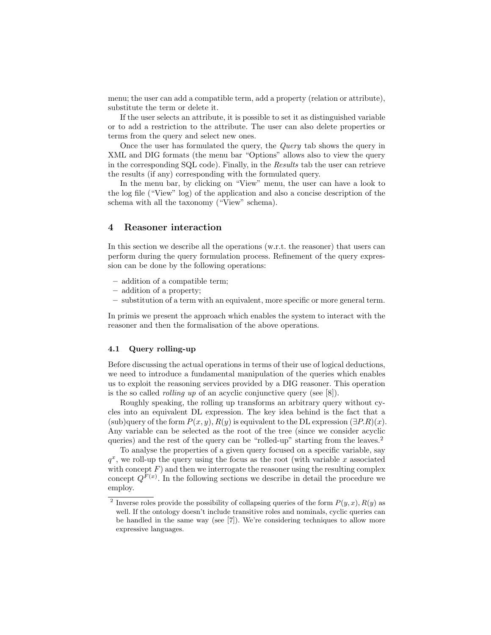menu; the user can add a compatible term, add a property (relation or attribute), substitute the term or delete it.

If the user selects an attribute, it is possible to set it as distinguished variable or to add a restriction to the attribute. The user can also delete properties or terms from the query and select new ones.

Once the user has formulated the query, the Query tab shows the query in XML and DIG formats (the menu bar "Options" allows also to view the query in the corresponding SQL code). Finally, in the Results tab the user can retrieve the results (if any) corresponding with the formulated query.

In the menu bar, by clicking on "View" menu, the user can have a look to the log file ("View" log) of the application and also a concise description of the schema with all the taxonomy ("View" schema).

# 4 Reasoner interaction

In this section we describe all the operations (w.r.t. the reasoner) that users can perform during the query formulation process. Refinement of the query expression can be done by the following operations:

- addition of a compatible term;
- addition of a property;
- substitution of a term with an equivalent, more specific or more general term.

In primis we present the approach which enables the system to interact with the reasoner and then the formalisation of the above operations.

# 4.1 Query rolling-up

Before discussing the actual operations in terms of their use of logical deductions, we need to introduce a fundamental manipulation of the queries which enables us to exploit the reasoning services provided by a DIG reasoner. This operation is the so called *rolling up* of an acyclic conjunctive query (see  $[8]$ ).

Roughly speaking, the rolling up transforms an arbitrary query without cycles into an equivalent DL expression. The key idea behind is the fact that a  $(\text{sub})$ query of the form  $P(x, y)$ ,  $R(y)$  is equivalent to the DL expression  $(\exists P.R)(x)$ . Any variable can be selected as the root of the tree (since we consider acyclic queries) and the rest of the query can be "rolled-up" starting from the leaves.<sup>2</sup>

To analyse the properties of a given query focused on a specific variable, say  $q^x$ , we roll-up the query using the focus as the root (with variable x associated with concept  $F$ ) and then we interrogate the reasoner using the resulting complex concept  $Q^{F(x)}$ . In the following sections we describe in detail the procedure we employ.

<sup>&</sup>lt;sup>2</sup> Inverse roles provide the possibility of collapsing queries of the form  $P(y, x)$ ,  $R(y)$  as well. If the ontology doesn't include transitive roles and nominals, cyclic queries can be handled in the same way (see [7]). We're considering techniques to allow more expressive languages.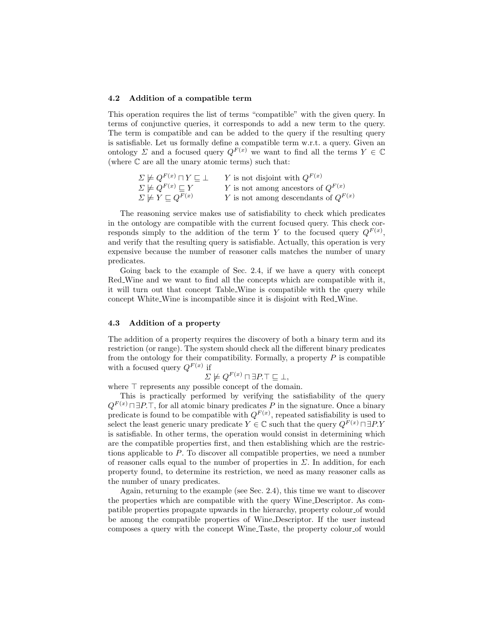#### 4.2 Addition of a compatible term

This operation requires the list of terms "compatible" with the given query. In terms of conjunctive queries, it corresponds to add a new term to the query. The term is compatible and can be added to the query if the resulting query is satisfiable. Let us formally define a compatible term w.r.t. a query. Given an ontology  $\Sigma$  and a focused query  $Q^{F(x)}$  we want to find all the terms  $Y \in \mathbb{C}$ (where C are all the unary atomic terms) such that:

| $\Sigma \not\models Q^{F(x)}\sqcap Y \sqsubset \bot$ | Y is not disjoint with $Q^{F(x)}$        |
|------------------------------------------------------|------------------------------------------|
| $\Sigma \not\models Q^{F(x)} \sqsubseteq Y$          | Y is not among ancestors of $Q^{F(x)}$   |
| $\Sigma \not\models Y \sqsubseteq Q^{F(x)}$          | Y is not among descendants of $Q^{F(x)}$ |

The reasoning service makes use of satisfiability to check which predicates in the ontology are compatible with the current focused query. This check corresponds simply to the addition of the term Y to the focused query  $Q^{F(x)}$ , and verify that the resulting query is satisfiable. Actually, this operation is very expensive because the number of reasoner calls matches the number of unary predicates.

Going back to the example of Sec. 2.4, if we have a query with concept Red Wine and we want to find all the concepts which are compatible with it, it will turn out that concept Table Wine is compatible with the query while concept White Wine is incompatible since it is disjoint with Red Wine.

#### 4.3 Addition of a property

The addition of a property requires the discovery of both a binary term and its restriction (or range). The system should check all the different binary predicates from the ontology for their compatibility. Formally, a property  $P$  is compatible with a focused query  $Q^{F(x)}$  if

$$
\Sigma \not\models Q^{F(x)}\sqcap \exists P.\top \sqsubseteq \bot,
$$

where  $\top$  represents any possible concept of the domain.

This is practically performed by verifying the satisfiability of the query  $Q^{F(x)} \square P \square T$ , for all atomic binary predicates P in the signature. Once a binary predicate is found to be compatible with  $Q^{F(x)}$ , repeated satisfiability is used to select the least generic unary predicate  $Y \in \mathbb{C}$  such that the query  $Q^{F(x)} \sqcap \exists P.Y$ is satisfiable. In other terms, the operation would consist in determining which are the compatible properties first, and then establishing which are the restrictions applicable to P. To discover all compatible properties, we need a number of reasoner calls equal to the number of properties in  $\Sigma$ . In addition, for each property found, to determine its restriction, we need as many reasoner calls as the number of unary predicates.

Again, returning to the example (see Sec. 2.4), this time we want to discover the properties which are compatible with the query Wine Descriptor. As compatible properties propagate upwards in the hierarchy, property colour of would be among the compatible properties of Wine Descriptor. If the user instead composes a query with the concept Wine Taste, the property colour of would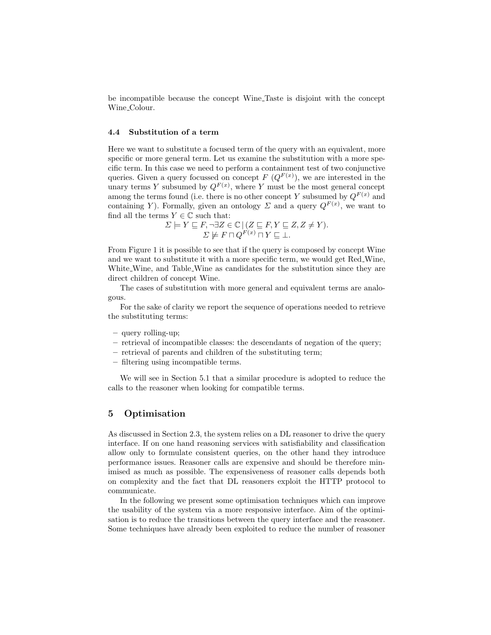be incompatible because the concept Wine Taste is disjoint with the concept Wine Colour.

### 4.4 Substitution of a term

Here we want to substitute a focused term of the query with an equivalent, more specific or more general term. Let us examine the substitution with a more specific term. In this case we need to perform a containment test of two conjunctive queries. Given a query focussed on concept  $F(Q^{F(x)})$ , we are interested in the unary terms Y subsumed by  $Q^{F(x)}$ , where Y must be the most general concept among the terms found (i.e. there is no other concept Y subsumed by  $Q^{F(x)}$  and containing Y). Formally, given an ontology  $\Sigma$  and a query  $Q^{F(x)}$ , we want to find all the terms  $Y \in \mathbb{C}$  such that:

$$
\Sigma \models Y \sqsubseteq F, \neg \exists Z \in \mathbb{C} \, | \, (Z \sqsubseteq F, Y \sqsubseteq Z, Z \neq Y).
$$
  

$$
\Sigma \not\models F \sqcap Q^{F(x)} \sqcap Y \sqsubseteq \bot.
$$

From Figure 1 it is possible to see that if the query is composed by concept Wine and we want to substitute it with a more specific term, we would get Red Wine, White Wine, and Table Wine as candidates for the substitution since they are direct children of concept Wine.

The cases of substitution with more general and equivalent terms are analogous.

For the sake of clarity we report the sequence of operations needed to retrieve the substituting terms:

- query rolling-up;
- retrieval of incompatible classes: the descendants of negation of the query;
- retrieval of parents and children of the substituting term;
- filtering using incompatible terms.

We will see in Section 5.1 that a similar procedure is adopted to reduce the calls to the reasoner when looking for compatible terms.

# 5 Optimisation

As discussed in Section 2.3, the system relies on a DL reasoner to drive the query interface. If on one hand reasoning services with satisfiability and classification allow only to formulate consistent queries, on the other hand they introduce performance issues. Reasoner calls are expensive and should be therefore minimised as much as possible. The expensiveness of reasoner calls depends both on complexity and the fact that DL reasoners exploit the HTTP protocol to communicate.

In the following we present some optimisation techniques which can improve the usability of the system via a more responsive interface. Aim of the optimisation is to reduce the transitions between the query interface and the reasoner. Some techniques have already been exploited to reduce the number of reasoner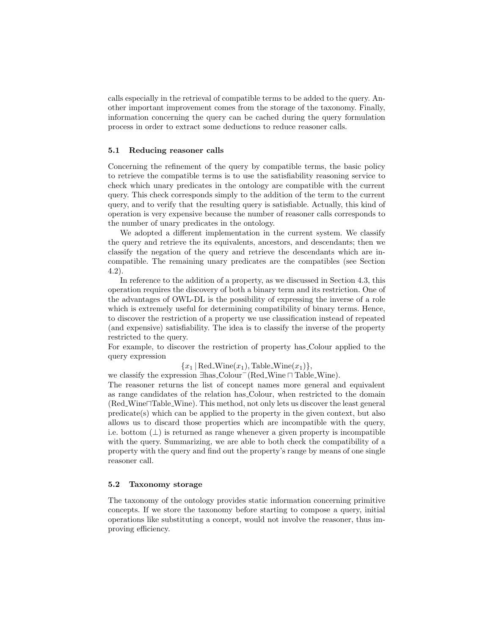calls especially in the retrieval of compatible terms to be added to the query. Another important improvement comes from the storage of the taxonomy. Finally, information concerning the query can be cached during the query formulation process in order to extract some deductions to reduce reasoner calls.

## 5.1 Reducing reasoner calls

Concerning the refinement of the query by compatible terms, the basic policy to retrieve the compatible terms is to use the satisfiability reasoning service to check which unary predicates in the ontology are compatible with the current query. This check corresponds simply to the addition of the term to the current query, and to verify that the resulting query is satisfiable. Actually, this kind of operation is very expensive because the number of reasoner calls corresponds to the number of unary predicates in the ontology.

We adopted a different implementation in the current system. We classify the query and retrieve the its equivalents, ancestors, and descendants; then we classify the negation of the query and retrieve the descendants which are incompatible. The remaining unary predicates are the compatibles (see Section 4.2).

In reference to the addition of a property, as we discussed in Section 4.3, this operation requires the discovery of both a binary term and its restriction. One of the advantages of OWL-DL is the possibility of expressing the inverse of a role which is extremely useful for determining compatibility of binary terms. Hence, to discover the restriction of a property we use classification instead of repeated (and expensive) satisfiability. The idea is to classify the inverse of the property restricted to the query.

For example, to discover the restriction of property has Colour applied to the query expression

 ${x_1 | \text{Red\_Wine}(x_1), \text{Table\_Wine}(x_1)},$ 

we classify the expression ∃has\_Colour<sup>-</sup>(Red\_Wine ∩ Table\_Wine).

The reasoner returns the list of concept names more general and equivalent as range candidates of the relation has Colour, when restricted to the domain  $(Red\_{Wine}\sqcap Table\_{Wine})$ . This method, not only lets us discover the least general predicate(s) which can be applied to the property in the given context, but also allows us to discard those properties which are incompatible with the query, i.e. bottom  $(\perp)$  is returned as range whenever a given property is incompatible with the query. Summarizing, we are able to both check the compatibility of a property with the query and find out the property's range by means of one single reasoner call.

## 5.2 Taxonomy storage

The taxonomy of the ontology provides static information concerning primitive concepts. If we store the taxonomy before starting to compose a query, initial operations like substituting a concept, would not involve the reasoner, thus improving efficiency.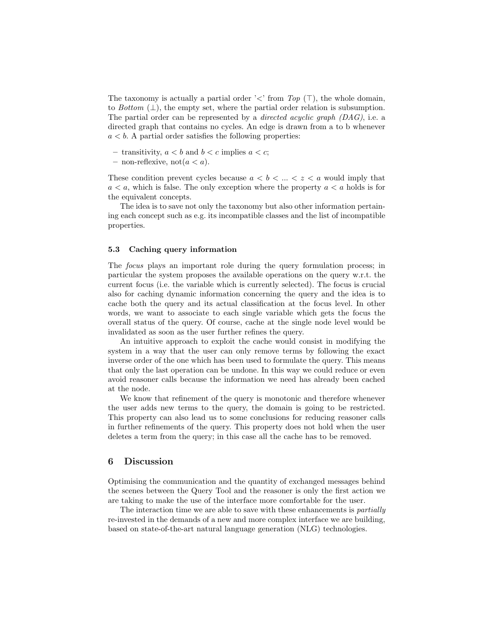The taxonomy is actually a partial order ' $\lt'$ ' from Top (T), the whole domain, to Bottom  $(\perp)$ , the empty set, where the partial order relation is subsumption. The partial order can be represented by a directed acyclic graph (DAG), i.e. a directed graph that contains no cycles. An edge is drawn from a to b whenever  $a < b$ . A partial order satisfies the following properties:

- transitivity,  $a < b$  and  $b < c$  implies  $a < c$ ;
- non-reflexive, not $(a < a)$ .

These condition prevent cycles because  $a < b < \ldots < z < a$  would imply that  $a < a$ , which is false. The only exception where the property  $a < a$  holds is for the equivalent concepts.

The idea is to save not only the taxonomy but also other information pertaining each concept such as e.g. its incompatible classes and the list of incompatible properties.

#### 5.3 Caching query information

The focus plays an important role during the query formulation process; in particular the system proposes the available operations on the query w.r.t. the current focus (i.e. the variable which is currently selected). The focus is crucial also for caching dynamic information concerning the query and the idea is to cache both the query and its actual classification at the focus level. In other words, we want to associate to each single variable which gets the focus the overall status of the query. Of course, cache at the single node level would be invalidated as soon as the user further refines the query.

An intuitive approach to exploit the cache would consist in modifying the system in a way that the user can only remove terms by following the exact inverse order of the one which has been used to formulate the query. This means that only the last operation can be undone. In this way we could reduce or even avoid reasoner calls because the information we need has already been cached at the node.

We know that refinement of the query is monotonic and therefore whenever the user adds new terms to the query, the domain is going to be restricted. This property can also lead us to some conclusions for reducing reasoner calls in further refinements of the query. This property does not hold when the user deletes a term from the query; in this case all the cache has to be removed.

# 6 Discussion

Optimising the communication and the quantity of exchanged messages behind the scenes between the Query Tool and the reasoner is only the first action we are taking to make the use of the interface more comfortable for the user.

The interaction time we are able to save with these enhancements is *partially* re-invested in the demands of a new and more complex interface we are building, based on state-of-the-art natural language generation (NLG) technologies.